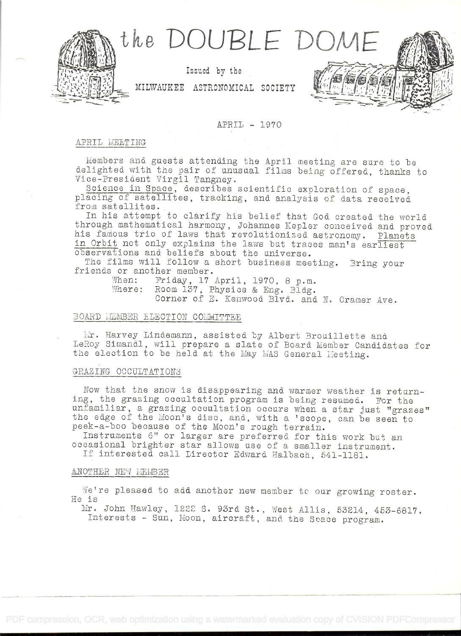

Issued by the

MILWAUKEE ASTRONOMICAL SOCIETY

# APRIL - 1970

## APRIL MEETING

Members and guests attending the April meeting are sure to be delighted with the pair of unusual films being offered, thanks to Vice-President Virgil Tangney.

Science in Space, describes scientific exploration of space. placing of satellites, tracking, and analysis of data received from satellites.

In his attempt to clarify his belief that God created the world through mathematical harmony, Johannes Kepler conceived and proved his famous trio of laws that revolutionized astronomy. Planets in Orbit not only explains the laws but traces man's earliest observations and beliefs about the universe.

The films will follow a short business meeting. Bring your friends or another member.

When: Friday, 17 April, 1970, 8 p.m.<br>Where: Room 137, Physics & Eng. Bldg. Corner of E. Kenwood Blvd. and N. Cramer Ave.

# BOARD LEMBER ELECTION COMMITTEE

Mr. Harvey Lindemann, assisted by Albert Brouillette and LeRoy Simandl, will prepare a slate of Board Member Candidates for the election to be held at the May MAS General Meeting.

#### GRAZING OCCULTATIONS

Now that the snow is disappearing and warmer weather is returning, the grazing occultation program is being resumed. For the unfamiliar, a grazing occultation occurs when a star just "grazes" the edge of the Moon's disc, and, with a 'scope, can be seen to peek-a-boo because of the Moon's rough terrain.

Instruments 6" or larger are preferred for this work but an occasional brighter star allows use of a smaller instrument.

If interested call Director Edward Halbach, 541-1181.

#### ANOTHER NEW MEMBER

We're pleased to add another new member to our growing roster. He is

Mr. John Hawley, 1222 S. 93rd St., West Allis, 53214, 453-6817. Interests - Sun, Moon, aircraft, and the Space program.